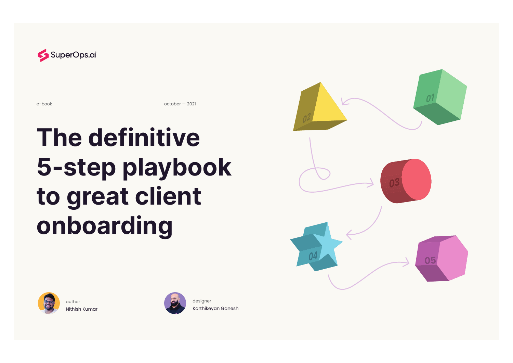

e-book october — 2021

# **The definitive 5-step playbook to great client onboarding**



author Nithish Kumar



designer Karthikeyan Ganesh

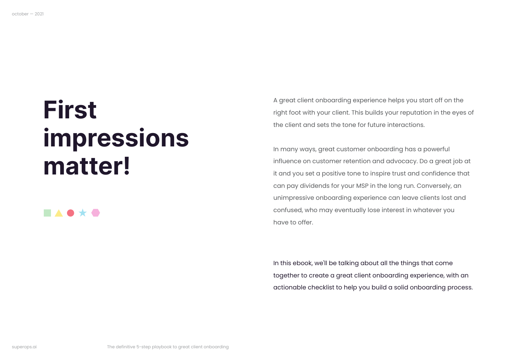## **First impressions matter!**

#### **. . . . .**

A great client onboarding experience helps you start off on the right foot with your client. This builds your reputation in the eyes of the client and sets the tone for future interactions.

In many ways, great customer onboarding has a powerful influence on customer retention and advocacy. Do a great job at it and you set a positive tone to inspire trust and confidence that can pay dividends for your MSP in the long run. Conversely, an unimpressive onboarding experience can leave clients lost and confused, who may eventually lose interest in whatever you have to offer.

In this ebook, we'll be talking about all the things that come together to create a great client onboarding experience, with an actionable checklist to help you build a solid onboarding process.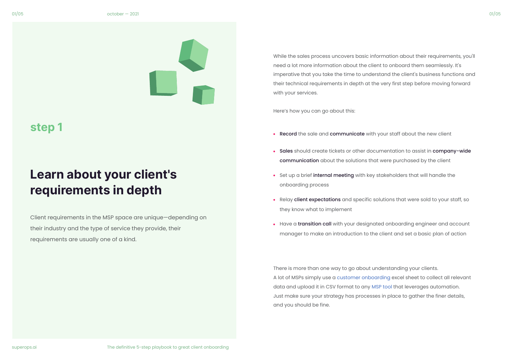

## **Learn about your client's requirements in depth**

Client requirements in the MSP space are unique—depending on their industry and the type of service they provide, their requirements are usually one of a kind.

While the sales process uncovers basic information about their requirements, you'll need a lot more information about the client to onboard them seamlessly. It's imperative that you take the time to understand the client's business functions and their technical requirements in depth at the very first step before moving forward with your services.

Here's how you can go about this:

- Record the sale and communicate with your staff about the new client
- Sales should create tickets or other documentation to assist in company-wide communication about the solutions that were purchased by the client
- Set up a brief internal meeting with key stakeholders that will handle the onboarding process
- Relay client expectations and specific solutions that were sold to your staff, so they know what to implement
- Have a transition call with your designated onboarding engineer and account manager to make an introduction to the client and set a basic plan of action

There is more than one way to go about understanding your clients. A lot of MSPs simply use a [customer onboarding](https://superops.ai/managed-service-provider/new-client-onboarding-checklist-for-msps) excel sheet to collect all relevant data and upload it in CSV format to any [MSP tool](https://superops.ai/psa-software/msp-automation) that leverages automation. Just make sure your strategy has processes in place to gather the finer details, and you should be fine.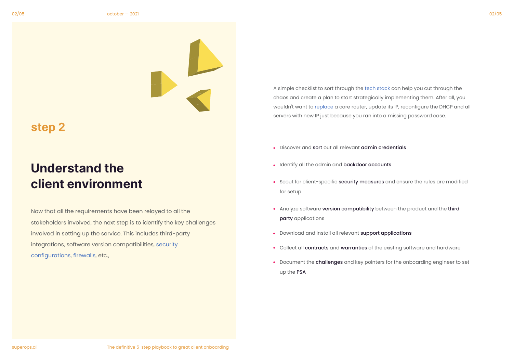

A simple checklist to sort through the [tech stack](https://superops.ai/managed-service-provider/what-to-consider-for-your-tech-stack-when-starting-a-new-msp-business-blog) can help you cut through the chaos and create a plan to start strategically implementing them. After all, you wouldn't want to [replace](https://superops.ai/managed-service-provider/driving-the-hardware-replacement-cycle-blog) a core router, update its IP, reconfigure the DHCP and all servers with new IP just because you ran into a missing password case.

**Discover and sort out all relevant admin credentials** 

### **Understand the client environment**

Now that all the requirements have been relayed to all the stakeholders involved, the next step is to identify the key challenges involved in setting up the service. This includes third-party integrations, software version compatibilities, [security](https://superops.ai/managed-service-provider/cybersecurity-tips-for-msps-blog)  [configurations](https://superops.ai/managed-service-provider/cybersecurity-tips-for-msps-blog), [firewalls,](https://superops.ai/managed-service-provider/firewall) etc.,

- Identify all the admin and backdoor accounts
- Scout for client-specific security measures and ensure the rules are modified for setup
- Analyze software version compatibility between the product and the third party applications
- Download and install all relevant support applications
- Collect all contracts and warranties of the existing software and hardware
- **•** Document the challenges and key pointers for the onboarding engineer to set up the PSA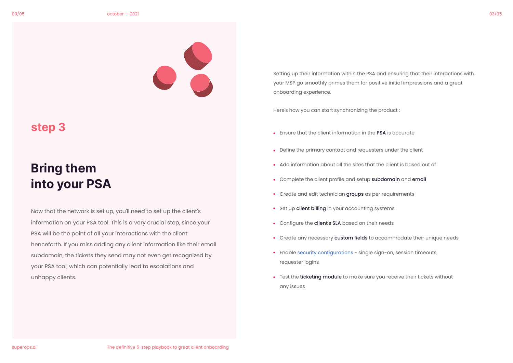

## **Bring them into your PSA**

Now that the network is set up, you'll need to set up the client's information on your PSA tool. This is a very crucial step, since your PSA will be the point of all your interactions with the client henceforth. If you miss adding any client information like their email subdomain, the tickets they send may not even get recognized by your PSA tool, which can potentially lead to escalations and unhappy clients.

Setting up their information within the PSA and ensuring that their interactions with your MSP go smoothly primes them for positive initial impressions and a great onboarding experience.

Here's how you can start synchronizing the product :

- Ensure that the client information in the PSA is accurate
- Define the primary contact and requesters under the client
- Add information about all the sites that the client is based out of
- Complete the client profile and setup subdomain and email
- Create and edit technician groups as per requirements
- Set up client billing in your accounting systems
- Configure the client's SLA based on their needs
- Create any necessary custom fields to accommodate their unique needs
- Enable [security configurations](https://superops.ai/managed-service-provider/cyber-resilience)  single sign-on, session timeouts, requester logins
- Test the **ticketing module** to make sure you receive their tickets without any issues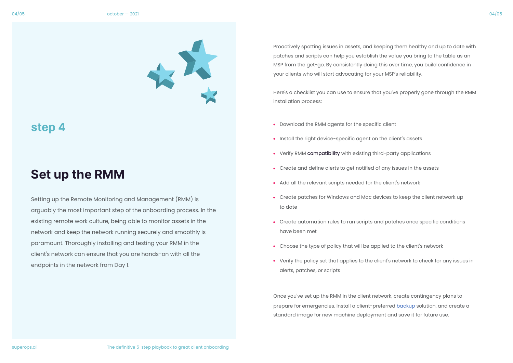

#### **Set up the RMM**

Setting up the Remote Monitoring and Management (RMM) is arguably the most important step of the onboarding process. In the existing remote work culture, being able to monitor assets in the network and keep the network running securely and smoothly is paramount. Thoroughly installing and testing your RMM in the client's network can ensure that you are hands-on with all the endpoints in the network from Day 1.

Proactively spotting issues in assets, and keeping them healthy and up to date with patches and scripts can help you establish the value you bring to the table as an MSP from the get-go. By consistently doing this over time, you build confidence in your clients who will start advocating for your MSP's reliability.

Here's a checklist you can use to ensure that you've properly gone through the RMM installation process:

- Download the RMM agents for the specific client
- Install the right device-specific agent on the client's assets
- Verify RMM compatibility with existing third-party applications
- Create and define alerts to get notified of any issues in the assets
- Add all the relevant scripts needed for the client's network
- Create patches for Windows and Mac devices to keep the client network up to date
- Create automation rules to run scripts and patches once specific conditions have been met
- Choose the type of policy that will be applied to the client's network
- Verify the policy set that applies to the client's network to check for any issues in alerts, patches, or scripts

Once you've set up the RMM in the client network, create contingency plans to prepare for emergencies. Install a client-preferred [backup](https://superops.ai/managed-service-provider/backups-and-the-mistakes-to-avoid) solution, and create a standard image for new machine deployment and save it for future use.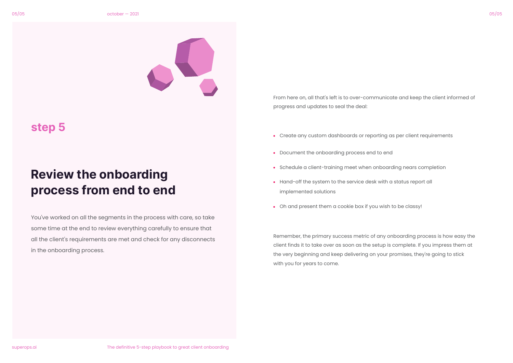

### **Review the onboarding process from end to end**

You've worked on all the segments in the process with care, so take some time at the end to review everything carefully to ensure that all the client's requirements are met and check for any disconnects in the onboarding process.

From here on, all that's left is to over-communicate and keep the client informed of progress and updates to seal the deal:

- Create any custom dashboards or reporting as per client requirements
- Document the onboarding process end to end
- Schedule a client-training meet when onboarding nears completion
- Hand-off the system to the service desk with a status report all implemented solutions
- Oh and present them a cookie box if you wish to be classy!

Remember, the primary success metric of any onboarding process is how easy the client finds it to take over as soon as the setup is complete. If you impress them at the very beginning and keep delivering on your promises, they're going to stick with you for years to come.